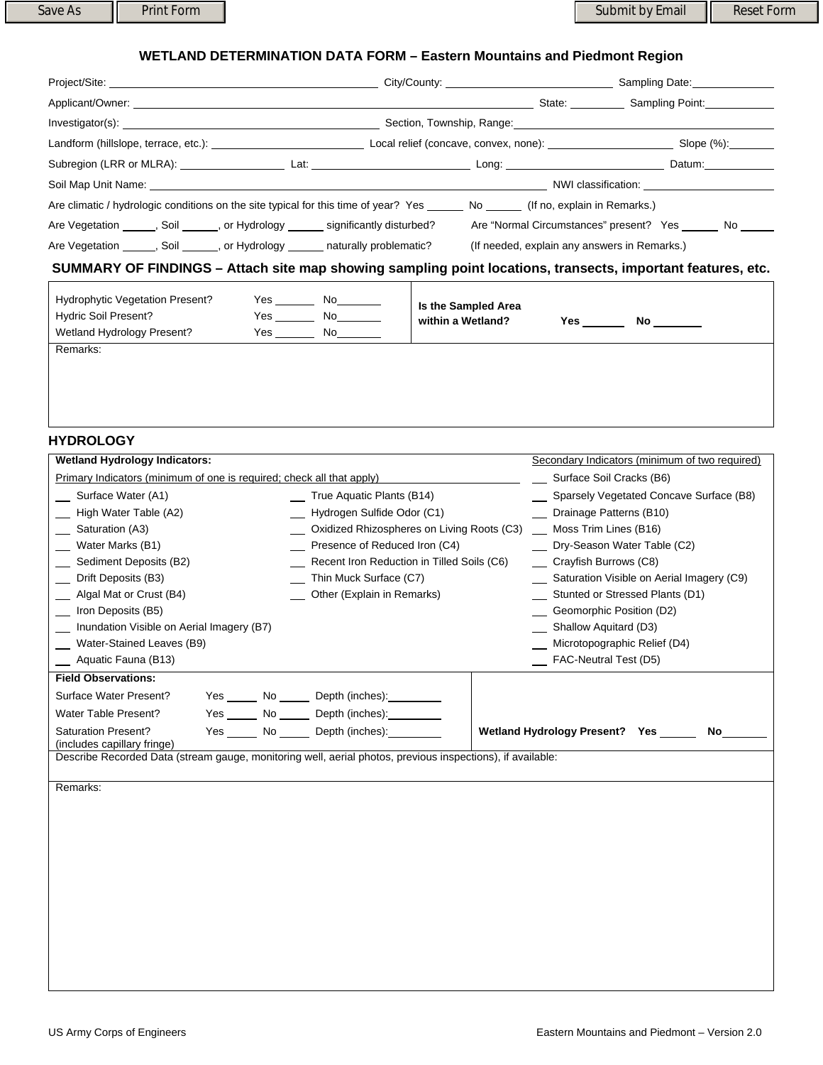## **WETLAND DETERMINATION DATA FORM – Eastern Mountains and Piedmont Region**

| Project/Site: The contract of the contract of the contract of the contract of the contract of the contract of the contract of the contract of the contract of the contract of the contract of the contract of the contract of  |                                              | Sampling Date: Sampling Date: |
|--------------------------------------------------------------------------------------------------------------------------------------------------------------------------------------------------------------------------------|----------------------------------------------|-------------------------------|
| Applicant/Owner:                                                                                                                                                                                                               |                                              | State: Sampling Point:        |
| Investigator(s): example and the state of the state of the state of the state of the state of the state of the state of the state of the state of the state of the state of the state of the state of the state of the state o |                                              |                               |
|                                                                                                                                                                                                                                |                                              | Slope (%):                    |
|                                                                                                                                                                                                                                |                                              | Datum: <u>_________</u>       |
|                                                                                                                                                                                                                                |                                              |                               |
| Are climatic / hydrologic conditions on the site typical for this time of year? Yes No (If no, explain in Remarks.)                                                                                                            |                                              |                               |
| Are Vegetation _______, Soil _______, or Hydrology _______ significantly disturbed?                                                                                                                                            | Are "Normal Circumstances" present? Yes No   |                               |
| Are Vegetation ______, Soil ______, or Hydrology ______ naturally problematic?                                                                                                                                                 | (If needed, explain any answers in Remarks.) |                               |
| SUMMARY OF FINDINGS - Attach site map showing sampling point locations, transects, important features, etc.                                                                                                                    |                                              |                               |

| Hydrophytic Vegetation Present?<br><b>Hydric Soil Present?</b><br>Wetland Hydrology Present? | Yes<br>Yes<br>Yes | No<br><b>No</b><br>No | Is the Sampled Area<br>within a Wetland? | Yes | No. |
|----------------------------------------------------------------------------------------------|-------------------|-----------------------|------------------------------------------|-----|-----|
| Remarks:                                                                                     |                   |                       |                                          |     |     |

## **HYDROLOGY**

| <b>Wetland Hydrology Indicators:</b>                                                                                                                                                                                                                                                                                                                                                                                                                                                                             | Secondary Indicators (minimum of two required)                                                                                                                                                                                                                                                                           |
|------------------------------------------------------------------------------------------------------------------------------------------------------------------------------------------------------------------------------------------------------------------------------------------------------------------------------------------------------------------------------------------------------------------------------------------------------------------------------------------------------------------|--------------------------------------------------------------------------------------------------------------------------------------------------------------------------------------------------------------------------------------------------------------------------------------------------------------------------|
| Primary Indicators (minimum of one is required; check all that apply)                                                                                                                                                                                                                                                                                                                                                                                                                                            | Surface Soil Cracks (B6)                                                                                                                                                                                                                                                                                                 |
| Surface Water (A1)<br>True Aquatic Plants (B14)<br>High Water Table (A2)<br>Hydrogen Sulfide Odor (C1)<br>Oxidized Rhizospheres on Living Roots (C3)<br>Saturation (A3)<br>_ Water Marks (B1)<br>Presence of Reduced Iron (C4)<br>Sediment Deposits (B2)<br>Recent Iron Reduction in Tilled Soils (C6)<br>Drift Deposits (B3)<br>Thin Muck Surface (C7)<br>Algal Mat or Crust (B4)<br>Other (Explain in Remarks)<br>Iron Deposits (B5)<br>Inundation Visible on Aerial Imagery (B7)<br>Water-Stained Leaves (B9) | Sparsely Vegetated Concave Surface (B8)<br>Drainage Patterns (B10)<br>Moss Trim Lines (B16)<br>Dry-Season Water Table (C2)<br>Crayfish Burrows (C8)<br>Saturation Visible on Aerial Imagery (C9)<br>Stunted or Stressed Plants (D1)<br>Geomorphic Position (D2)<br>Shallow Aquitard (D3)<br>Microtopographic Relief (D4) |
| Aquatic Fauna (B13)                                                                                                                                                                                                                                                                                                                                                                                                                                                                                              | FAC-Neutral Test (D5)                                                                                                                                                                                                                                                                                                    |
| <b>Field Observations:</b>                                                                                                                                                                                                                                                                                                                                                                                                                                                                                       |                                                                                                                                                                                                                                                                                                                          |
| Surface Water Present?<br>Yes _______ No _______ Depth (inches): _________<br>Yes No Depth (inches):<br>Water Table Present?                                                                                                                                                                                                                                                                                                                                                                                     |                                                                                                                                                                                                                                                                                                                          |
| Yes No Depth (inches):<br><b>Saturation Present?</b><br>(includes capillary fringe)                                                                                                                                                                                                                                                                                                                                                                                                                              | Wetland Hydrology Present? Yes ______<br>No l                                                                                                                                                                                                                                                                            |
| Describe Recorded Data (stream gauge, monitoring well, aerial photos, previous inspections), if available:                                                                                                                                                                                                                                                                                                                                                                                                       |                                                                                                                                                                                                                                                                                                                          |
| Remarks:                                                                                                                                                                                                                                                                                                                                                                                                                                                                                                         |                                                                                                                                                                                                                                                                                                                          |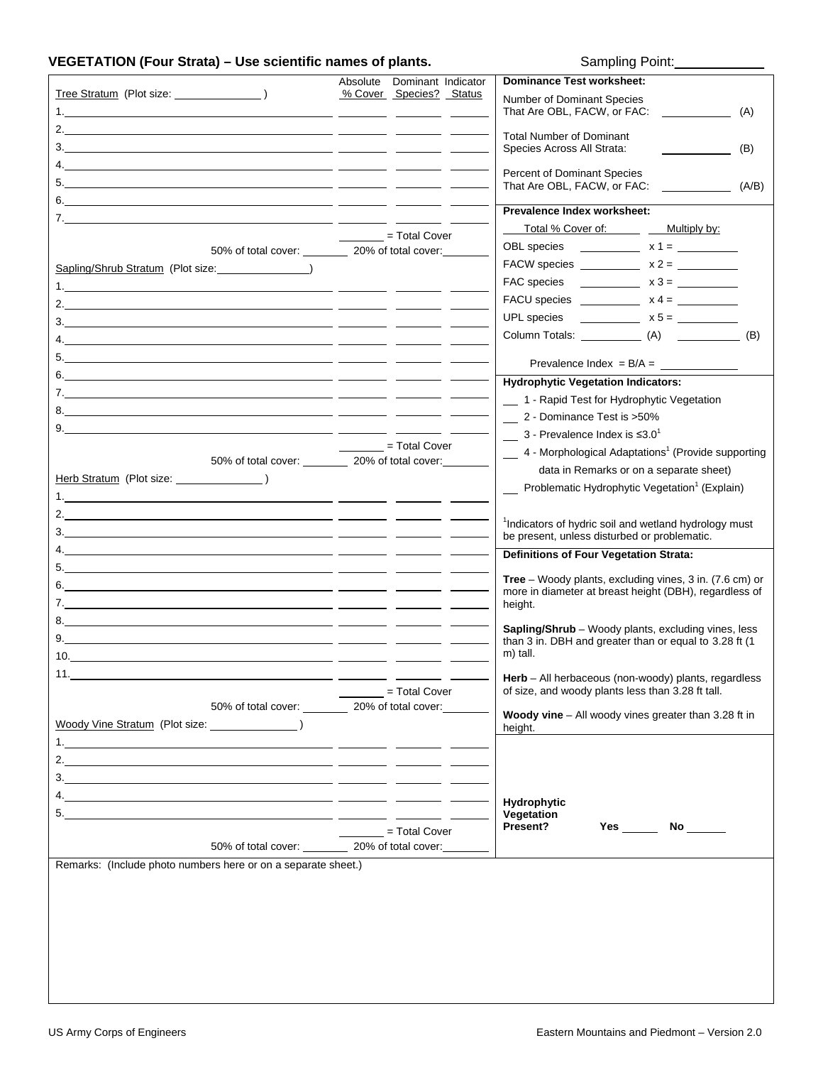## **VEGETATION (Four Strata) – Use scientific names of plants.** Sampling Point:

|                                                                       | Absolute | Dominant Indicator          | <b>Dominance Test worksheet:</b>                                   |
|-----------------------------------------------------------------------|----------|-----------------------------|--------------------------------------------------------------------|
|                                                                       |          | % Cover Species? Status     | Number of Dominant Species                                         |
|                                                                       |          |                             | That Are OBL, FACW, or FAC:<br>(A)                                 |
|                                                                       |          |                             | <b>Total Number of Dominant</b>                                    |
|                                                                       |          |                             | Species Across All Strata:<br>(B)                                  |
|                                                                       |          |                             |                                                                    |
|                                                                       |          |                             | Percent of Dominant Species                                        |
|                                                                       |          |                             | That Are OBL, FACW, or FAC: (A/B)                                  |
|                                                                       |          |                             | Prevalence Index worksheet:                                        |
|                                                                       |          |                             | Total % Cover of: Multiply by:                                     |
| 50% of total cover: __________ 20% of total cover:                    |          | = Total Cover               |                                                                    |
|                                                                       |          |                             | FACW species ______________ $x 2 =$ __________                     |
| Sapling/Shrub Stratum (Plot size: \\square\)                          |          |                             |                                                                    |
| 1. The same $\sim$ 1.<br><u> 1989 - Andrea Andrew Maria (b. 1989)</u> |          |                             |                                                                    |
|                                                                       |          |                             |                                                                    |
|                                                                       |          |                             |                                                                    |
|                                                                       |          |                             |                                                                    |
|                                                                       |          |                             | Prevalence Index = $B/A =$                                         |
|                                                                       |          |                             |                                                                    |
|                                                                       |          |                             | <b>Hydrophytic Vegetation Indicators:</b>                          |
|                                                                       |          |                             | 1 - Rapid Test for Hydrophytic Vegetation                          |
|                                                                       |          |                             | 2 - Dominance Test is >50%                                         |
|                                                                       |          |                             | $\frac{1}{2}$ 3 - Prevalence Index is $\leq 3.0^1$                 |
| 50% of total cover: __________ 20% of total cover:                    |          | = Total Cover               | 4 - Morphological Adaptations <sup>1</sup> (Provide supporting     |
|                                                                       |          |                             | data in Remarks or on a separate sheet)                            |
|                                                                       |          |                             | Problematic Hydrophytic Vegetation <sup>1</sup> (Explain)          |
|                                                                       |          |                             |                                                                    |
|                                                                       |          |                             | <sup>1</sup> Indicators of hydric soil and wetland hydrology must  |
|                                                                       |          |                             | be present, unless disturbed or problematic.                       |
|                                                                       |          |                             | <b>Definitions of Four Vegetation Strata:</b>                      |
|                                                                       |          |                             |                                                                    |
|                                                                       |          |                             | <b>Tree</b> – Woody plants, excluding vines, $3$ in. (7.6 cm) or   |
|                                                                       |          |                             | more in diameter at breast height (DBH), regardless of<br>height.  |
|                                                                       |          |                             |                                                                    |
|                                                                       |          |                             | Sapling/Shrub - Woody plants, excluding vines, less                |
|                                                                       |          |                             | than 3 in. DBH and greater than or equal to 3.28 ft (1<br>m) tall. |
| 10.                                                                   |          |                             |                                                                    |
|                                                                       |          |                             | Herb - All herbaceous (non-woody) plants, regardless               |
|                                                                       |          | $=$ Total Cover             | of size, and woody plants less than 3.28 ft tall.                  |
| 50% of total cover: 20% of total cover:                               |          |                             | Woody vine - All woody vines greater than 3.28 ft in               |
|                                                                       |          |                             | height.                                                            |
|                                                                       |          |                             |                                                                    |
|                                                                       |          |                             |                                                                    |
|                                                                       |          |                             |                                                                    |
|                                                                       |          |                             |                                                                    |
|                                                                       |          |                             | <b>Hydrophytic</b><br>Vegetation                                   |
|                                                                       |          | $\frac{1}{2}$ = Total Cover | Present?<br><b>Yes</b><br>No $\qquad$                              |
| 50% of total cover: 20% of total cover:                               |          |                             |                                                                    |
| Remarks: (Include photo numbers here or on a separate sheet.)         |          |                             |                                                                    |
|                                                                       |          |                             |                                                                    |
|                                                                       |          |                             |                                                                    |
|                                                                       |          |                             |                                                                    |
|                                                                       |          |                             |                                                                    |
|                                                                       |          |                             |                                                                    |
|                                                                       |          |                             |                                                                    |
|                                                                       |          |                             |                                                                    |
|                                                                       |          |                             |                                                                    |
|                                                                       |          |                             |                                                                    |